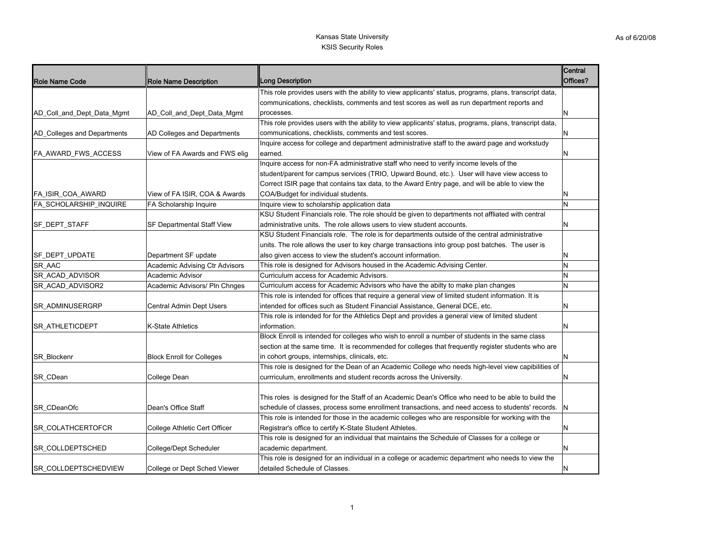| <b>Role Name Code</b>         | <b>Role Name Description</b>     | <b>Long Description</b>                                                                                 | <b>Central</b><br>Offices? |
|-------------------------------|----------------------------------|---------------------------------------------------------------------------------------------------------|----------------------------|
|                               |                                  | This role provides users with the ability to view applicants' status, programs, plans, transcript data, |                            |
|                               |                                  | communications, checklists, comments and test scores as well as run department reports and              |                            |
| AD_Coll_and_Dept_Data_Mgmt    | AD_Coll_and_Dept_Data_Mgmt       | processes.                                                                                              | N                          |
|                               |                                  | This role provides users with the ability to view applicants' status, programs, plans, transcript data, |                            |
| AD_Colleges and Departments   | AD Colleges and Departments      | communications, checklists, comments and test scores.                                                   | N                          |
|                               |                                  | Inquire access for college and department administrative staff to the award page and workstudy          |                            |
| <b>FA AWARD FWS ACCESS</b>    | View of FA Awards and FWS elig   | earned.                                                                                                 | N                          |
|                               |                                  | Inquire access for non-FA administrative staff who need to verify income levels of the                  |                            |
|                               |                                  | student/parent for campus services (TRIO, Upward Bound, etc.). User will have view access to            |                            |
|                               |                                  | Correct ISIR page that contains tax data, to the Award Entry page, and will be able to view the         |                            |
| FA_ISIR_COA_AWARD             | View of FA ISIR, COA & Awards    | COA/Budget for individual students.                                                                     | N                          |
| <b>FA SCHOLARSHIP INQUIRE</b> | FA Scholarship Inquire           | Inquire view to scholarship application data                                                            | N                          |
|                               |                                  | KSU Student Financials role. The role should be given to departments not affliated with central         |                            |
| SF_DEPT_STAFF                 | SF Departmental Staff View       | administrative units. The role allows users to view student accounts.                                   | N                          |
|                               |                                  | KSU Student Financials role. The role is for departments outside of the central administrative          |                            |
|                               |                                  | units. The role allows the user to key charge transactions into group post batches. The user is         |                            |
| SF DEPT UPDATE                | Department SF update             | also given access to view the student's account information.                                            | N                          |
| SR AAC                        | Academic Advising Ctr Advisors   | This role is designed for Advisors housed in the Academic Advising Center.                              | N                          |
| <b>SR ACAD ADVISOR</b>        | Academic Advisor                 | Curriculum access for Academic Advisors.                                                                | N                          |
| SR_ACAD_ADVISOR2              | Academic Advisors/ Pln Chnges    | Curriculum access for Academic Advisors who have the abilty to make plan changes                        | N                          |
|                               |                                  | This role is intended for offices that require a general view of limited student information. It is     |                            |
| SR_ADMINUSERGRP               | Central Admin Dept Users         | intended for offices such as Student Financial Assistance, General DCE, etc.                            | N                          |
|                               |                                  | This role is intended for for the Athletics Dept and provides a general view of limited student         |                            |
| SR_ATHLETICDEPT               | K-State Athletics                | information.                                                                                            | N                          |
|                               |                                  | Block Enroll is intended for colleges who wish to enroll a number of students in the same class         |                            |
|                               |                                  | section at the same time. It is recommended for colleges that frequently register students who are      |                            |
| SR_Blockenr                   | <b>Block Enroll for Colleges</b> | in cohort groups, internships, clinicals, etc.                                                          | N                          |
|                               |                                  | This role is designed for the Dean of an Academic College who needs high-level view capibilities of     |                            |
| SR CDean                      | College Dean                     | currriculum, enrollments and student records across the University.                                     | N                          |
|                               |                                  |                                                                                                         |                            |
|                               |                                  | This roles is designed for the Staff of an Academic Dean's Office who need to be able to build the      |                            |
| SR_CDeanOfc                   | Dean's Office Staff              | schedule of classes, process some enrollment transactions, and need access to students' records. N      |                            |
|                               |                                  | This role is intended for those in the academic colleges who are responsible for working with the       |                            |
| SR_COLATHCERTOFCR             | College Athletic Cert Officer    | Registrar's office to certify K-State Student Athletes.                                                 | $\mathsf{N}$               |
|                               |                                  | This role is designed for an individual that maintains the Schedule of Classes for a college or         |                            |
| SR COLLDEPTSCHED              | College/Dept Scheduler           | academic department.                                                                                    | N                          |
|                               |                                  | This role is designed for an individual in a college or academic department who needs to view the       |                            |
| SR COLLDEPTSCHEDVIEW          | College or Dept Sched Viewer     | detailed Schedule of Classes.                                                                           | N                          |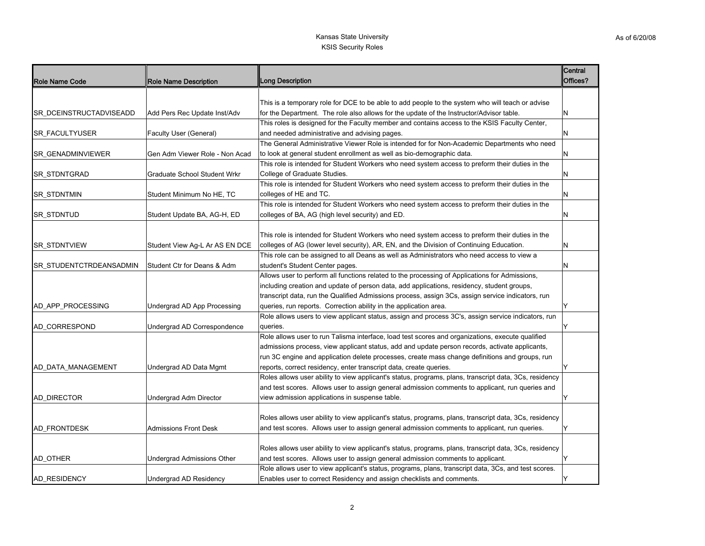|                         |                                     |                                                                                                        | Central  |
|-------------------------|-------------------------------------|--------------------------------------------------------------------------------------------------------|----------|
| <b>Role Name Code</b>   | <b>Role Name Description</b>        | <b>Long Description</b>                                                                                | Offices? |
|                         |                                     |                                                                                                        |          |
|                         |                                     | This is a temporary role for DCE to be able to add people to the system who will teach or advise       |          |
| SR DCEINSTRUCTADVISEADD | Add Pers Rec Update Inst/Adv        | for the Department. The role also allows for the update of the Instructor/Advisor table.               | N        |
|                         |                                     | This roles is designed for the Faculty member and contains access to the KSIS Faculty Center,          |          |
| SR_FACULTYUSER          | Faculty User (General)              | and needed administrative and advising pages.                                                          | N        |
|                         |                                     | The General Administrative Viewer Role is intended for for Non-Academic Departments who need           |          |
| SR GENADMINVIEWER       | Gen Adm Viewer Role - Non Acad      | to look at general student enrollment as well as bio-demographic data.                                 | N        |
|                         |                                     | This role is intended for Student Workers who need system access to preform their duties in the        |          |
| SR_STDNTGRAD            | <b>Graduate School Student Wrkr</b> | College of Graduate Studies.                                                                           | N        |
|                         |                                     | This role is intended for Student Workers who need system access to preform their duties in the        |          |
| SR_STDNTMIN             | Student Minimum No HE, TC           | colleges of HE and TC.                                                                                 | N        |
|                         |                                     | This role is intended for Student Workers who need system access to preform their duties in the        |          |
| SR_STDNTUD              | Student Update BA, AG-H, ED         | colleges of BA, AG (high level security) and ED.                                                       | N        |
|                         |                                     |                                                                                                        |          |
|                         |                                     | This role is intended for Student Workers who need system access to preform their duties in the        |          |
| <b>SR STDNTVIEW</b>     | Student View Ag-L Ar AS EN DCE      | colleges of AG (lower level security), AR, EN, and the Division of Continuing Education.               | N        |
|                         |                                     | This role can be assigned to all Deans as well as Administrators who need access to view a             |          |
| SR_STUDENTCTRDEANSADMIN | Student Ctr for Deans & Adm         | student's Student Center pages.                                                                        | N        |
|                         |                                     | Allows user to perform all functions related to the processing of Applications for Admissions,         |          |
|                         |                                     | including creation and update of person data, add applications, residency, student groups,             |          |
|                         |                                     | transcript data, run the Qualified Admissions process, assign 3Cs, assign service indicators, run      |          |
| AD_APP_PROCESSING       | Undergrad AD App Processing         | queries, run reports. Correction ability in the application area.                                      | Y        |
|                         |                                     | Role allows users to view applicant status, assign and process 3C's, assign service indicators, run    |          |
| AD_CORRESPOND           | Undergrad AD Correspondence         | queries.                                                                                               |          |
|                         |                                     | Role allows user to run Talisma interface, load test scores and organizations, execute qualified       |          |
|                         |                                     | admissions process, view applicant status, add and update person records, activate applicants,         |          |
|                         |                                     | run 3C engine and application delete processes, create mass change definitions and groups, run         |          |
| AD_DATA_MANAGEMENT      | Undergrad AD Data Mgmt              | reports, correct residency, enter transcript data, create queries.                                     | Y        |
|                         |                                     | Roles allows user ability to view applicant's status, programs, plans, transcript data, 3Cs, residency |          |
|                         |                                     | and test scores. Allows user to assign general admission comments to applicant, run queries and        |          |
| <b>AD DIRECTOR</b>      | Undergrad Adm Director              | view admission applications in suspense table.                                                         | Υ        |
|                         |                                     |                                                                                                        |          |
|                         |                                     | Roles allows user ability to view applicant's status, programs, plans, transcript data, 3Cs, residency |          |
| <b>AD FRONTDESK</b>     | <b>Admissions Front Desk</b>        | and test scores. Allows user to assign general admission comments to applicant, run queries.           | Υ        |
|                         |                                     |                                                                                                        |          |
|                         |                                     | Roles allows user ability to view applicant's status, programs, plans, transcript data, 3Cs, residency |          |
| AD_OTHER                | Undergrad Admissions Other          | and test scores. Allows user to assign general admission comments to applicant.                        | Y        |
|                         |                                     | Role allows user to view applicant's status, programs, plans, transcript data, 3Cs, and test scores.   |          |
| <b>AD RESIDENCY</b>     | Undergrad AD Residency              | Enables user to correct Residency and assign checklists and comments.                                  | Y        |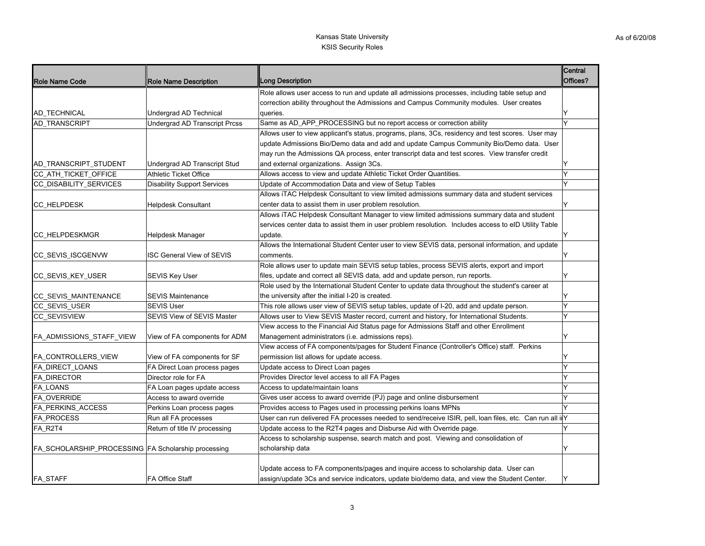|                                                     |                                      |                                                                                                          | Central  |
|-----------------------------------------------------|--------------------------------------|----------------------------------------------------------------------------------------------------------|----------|
| <b>Role Name Code</b>                               | <b>Role Name Description</b>         | <b>Long Description</b>                                                                                  | Offices? |
|                                                     |                                      | Role allows user access to run and update all admissions processes, including table setup and            |          |
|                                                     |                                      | correction ability throughout the Admissions and Campus Community modules. User creates                  |          |
| <b>AD TECHNICAL</b>                                 | Undergrad AD Technical               | queries.                                                                                                 | Y        |
| <b>AD TRANSCRIPT</b>                                | <b>Undergrad AD Transcript Prcss</b> | Same as AD_APP_PROCESSING but no report access or correction ability                                     | Y        |
|                                                     |                                      | Allows user to view applicant's status, programs, plans, 3Cs, residency and test scores. User may        |          |
|                                                     |                                      | update Admissions Bio/Demo data and add and update Campus Community Bio/Demo data. User                  |          |
|                                                     |                                      | may run the Admissions QA process, enter transcript data and test scores. View transfer credit           |          |
| AD_TRANSCRIPT_STUDENT                               | Undergrad AD Transcript Stud         | and external organizations. Assign 3Cs.                                                                  |          |
| CC_ATH_TICKET_OFFICE                                | <b>Athletic Ticket Office</b>        | Allows access to view and update Athletic Ticket Order Quantities.                                       | Y        |
| CC_DISABILITY_SERVICES                              | <b>Disability Support Services</b>   | Update of Accommodation Data and view of Setup Tables                                                    | Y        |
|                                                     |                                      | Allows iTAC Helpdesk Consultant to view limited admissions summary data and student services             |          |
| CC_HELPDESK                                         | <b>Helpdesk Consultant</b>           | center data to assist them in user problem resolution.                                                   | Y        |
|                                                     |                                      | Allows iTAC Helpdesk Consultant Manager to view limited admissions summary data and student              |          |
|                                                     |                                      | services center data to assist them in user problem resolution. Includes access to eID Utility Table     |          |
| CC_HELPDESKMGR                                      | Helpdesk Manager                     | update.                                                                                                  | Y        |
|                                                     |                                      | Allows the International Student Center user to view SEVIS data, personal information, and update        |          |
| <b>CC SEVIS ISCGENVW</b>                            | <b>ISC General View of SEVIS</b>     | comments.                                                                                                | Y        |
|                                                     |                                      | Role allows user to update main SEVIS setup tables, process SEVIS alerts, export and import              |          |
| CC_SEVIS_KEY_USER                                   | <b>SEVIS Key User</b>                | files, update and correct all SEVIS data, add and update person, run reports.                            | Y        |
|                                                     |                                      | Role used by the International Student Center to update data throughout the student's career at          |          |
| CC_SEVIS_MAINTENANCE                                | <b>SEVIS Maintenance</b>             | the university after the initial I-20 is created.                                                        | Y        |
| CC_SEVIS_USER                                       | <b>SEVIS User</b>                    | This role allows user view of SEVIS setup tables, update of I-20, add and update person.                 | Y        |
| <b>CC SEVISVIEW</b>                                 | SEVIS View of SEVIS Master           | Allows user to View SEVIS Master record, current and history, for International Students.                | Ý        |
|                                                     |                                      | View access to the Financial Aid Status page for Admissions Staff and other Enrollment                   |          |
| FA_ADMISSIONS_STAFF_VIEW                            | View of FA components for ADM        | Management administrators (i.e. admissions reps).                                                        | Y        |
|                                                     |                                      | View access of FA components/pages for Student Finance (Controller's Office) staff. Perkins              |          |
| FA_CONTROLLERS_VIEW                                 | View of FA components for SF         | permission list allows for update access.                                                                | Υ        |
| FA_DIRECT_LOANS                                     | FA Direct Loan process pages         | Update access to Direct Loan pages                                                                       | Y        |
| FA_DIRECTOR                                         | Director role for FA                 | Provides Director level access to all FA Pages                                                           | Ý        |
| FA_LOANS                                            | FA Loan pages update access          | Access to update/maintain loans                                                                          | Y        |
| FA_OVERRIDE                                         | Access to award override             | Gives user access to award override (PJ) page and online disbursement                                    | Y        |
| <b>FA PERKINS ACCESS</b>                            | Perkins Loan process pages           | Provides access to Pages used in processing perkins loans MPNs                                           |          |
| <b>FA PROCESS</b>                                   | Run all FA processes                 | User can run delivered FA processes needed to send/receive ISIR, pell, loan files, etc. Can run all il Y |          |
| FA_R2T4                                             | Return of title IV processing        | Update access to the R2T4 pages and Disburse Aid with Override page.                                     |          |
|                                                     |                                      | Access to scholarship suspense, search match and post. Viewing and consolidation of                      |          |
| FA_SCHOLARSHIP_PROCESSING FA Scholarship processing |                                      | scholarship data                                                                                         | Y        |
|                                                     |                                      |                                                                                                          |          |
|                                                     |                                      | Update access to FA components/pages and inquire access to scholarship data. User can                    |          |
| FA_STAFF                                            | <b>FA Office Staff</b>               | assign/update 3Cs and service indicators, update bio/demo data, and view the Student Center.             | Y        |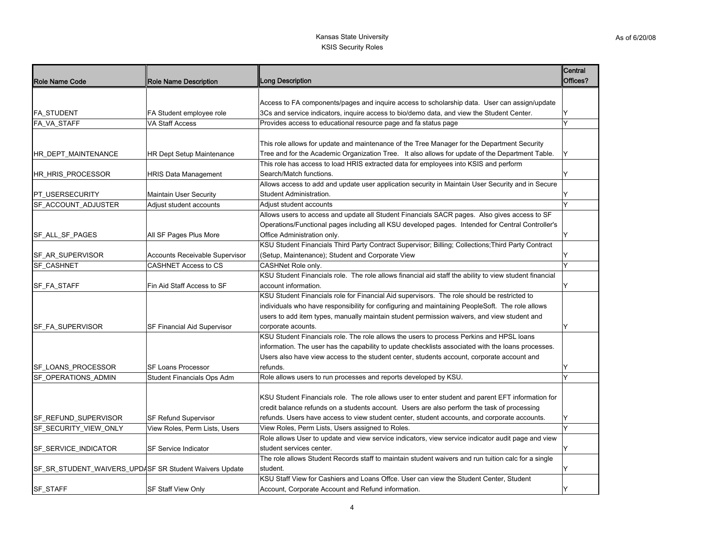| Role Name Code          | <b>Role Name Description</b>                           | <b>Long Description</b>                                                                                | Central<br>Offices? |
|-------------------------|--------------------------------------------------------|--------------------------------------------------------------------------------------------------------|---------------------|
|                         |                                                        |                                                                                                        |                     |
|                         |                                                        | Access to FA components/pages and inquire access to scholarship data. User can assign/update           |                     |
| <b>FA_STUDENT</b>       | FA Student employee role                               | 3Cs and service indicators, inquire access to bio/demo data, and view the Student Center.              | Y                   |
| <b>FA VA STAFF</b>      | VA Staff Access                                        | Provides access to educational resource page and fa status page                                        | Y                   |
|                         |                                                        |                                                                                                        |                     |
|                         |                                                        | This role allows for update and maintenance of the Tree Manager for the Department Security            |                     |
| HR DEPT MAINTENANCE     | <b>HR Dept Setup Maintenance</b>                       | Tree and for the Academic Organization Tree. It also allows for update of the Department Table.        | ΙY                  |
|                         |                                                        | This role has access to load HRIS extracted data for employees into KSIS and perform                   |                     |
| HR_HRIS_PROCESSOR       | <b>HRIS Data Management</b>                            | Search/Match functions.                                                                                | Y                   |
|                         |                                                        | Allows access to add and update user application security in Maintain User Security and in Secure      |                     |
| <b>PT USERSECURITY</b>  | <b>Maintain User Security</b>                          | Student Administration.                                                                                |                     |
| SF ACCOUNT ADJUSTER     | Adjust student accounts                                | Adjust student accounts                                                                                | Y                   |
|                         |                                                        | Allows users to access and update all Student Financials SACR pages. Also gives access to SF           |                     |
|                         |                                                        | Operations/Functional pages including all KSU developed pages. Intended for Central Controller's       |                     |
| SF_ALL_SF_PAGES         | All SF Pages Plus More                                 | Office Administration only.                                                                            |                     |
|                         |                                                        | KSU Student Financials Third Party Contract Supervisor; Billing; Collections; Third Party Contract     |                     |
| SF_AR_SUPERVISOR        | Accounts Receivable Supervisor                         | (Setup, Maintenance); Student and Corporate View                                                       |                     |
| SF_CASHNET              | CASHNET Access to CS                                   | CASHNet Role only.                                                                                     | Y                   |
|                         |                                                        | KSU Student Financials role. The role allows financial aid staff the ability to view student financial |                     |
| SF_FA_STAFF             | Fin Aid Staff Access to SF                             | account information.                                                                                   | Y                   |
|                         |                                                        | KSU Student Financials role for Financial Aid supervisors. The role should be restricted to            |                     |
|                         |                                                        | individuals who have responsibility for configuring and maintaining PeopleSoft. The role allows        |                     |
|                         |                                                        | users to add item types, manually maintain student permission waivers, and view student and            |                     |
| <b>SF FA SUPERVISOR</b> | SF Financial Aid Supervisor                            | corporate acounts.                                                                                     | Y                   |
|                         |                                                        | KSU Student Financials role. The role allows the users to process Perkins and HPSL loans               |                     |
|                         |                                                        | information. The user has the capability to update checklists associated with the loans processes.     |                     |
|                         |                                                        | Users also have view access to the student center, students account, corporate account and             |                     |
| SF_LOANS_PROCESSOR      | <b>SF Loans Processor</b>                              | refunds.                                                                                               | Y                   |
| SF_OPERATIONS_ADMIN     | Student Financials Ops Adm                             | Role allows users to run processes and reports developed by KSU.                                       | Y                   |
|                         |                                                        |                                                                                                        |                     |
|                         |                                                        | KSU Student Financials role. The role allows user to enter student and parent EFT information for      |                     |
|                         |                                                        | credit balance refunds on a students account. Users are also perform the task of processing            |                     |
| SF_REFUND_SUPERVISOR    | SF Refund Supervisor                                   | refunds. Users have access to view student center, student accounts, and corporate accounts.           | Y                   |
| SF_SECURITY_VIEW_ONLY   | View Roles, Perm Lists, Users                          | View Roles, Perm Lists, Users assigned to Roles.                                                       | Y                   |
|                         |                                                        | Role allows User to update and view service indicators, view service indicator audit page and view     |                     |
| SF_SERVICE_INDICATOR    | <b>SF Service Indicator</b>                            | student services center.                                                                               | Υ                   |
|                         |                                                        | The role allows Student Records staff to maintain student waivers and run tuition calc for a single    |                     |
|                         | SF_SR_STUDENT_WAIVERS_UPDASF SR Student Waivers Update | student.                                                                                               | Y                   |
|                         |                                                        | KSU Staff View for Cashiers and Loans Offce. User can view the Student Center, Student                 |                     |
| <b>SF STAFF</b>         | <b>SF Staff View Only</b>                              | Account, Corporate Account and Refund information.                                                     | Y                   |